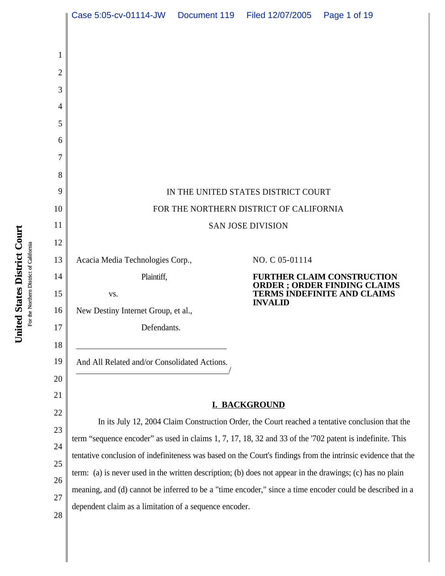|          | Case 5:05-cv-01114-JW                                                                                         | Document 119 | Filed 12/07/2005                        | Page 1 of 19                                                                                     |  |
|----------|---------------------------------------------------------------------------------------------------------------|--------------|-----------------------------------------|--------------------------------------------------------------------------------------------------|--|
|          |                                                                                                               |              |                                         |                                                                                                  |  |
| 1        |                                                                                                               |              |                                         |                                                                                                  |  |
| 2        |                                                                                                               |              |                                         |                                                                                                  |  |
| 3        |                                                                                                               |              |                                         |                                                                                                  |  |
| 4        |                                                                                                               |              |                                         |                                                                                                  |  |
| 5        |                                                                                                               |              |                                         |                                                                                                  |  |
| 6        |                                                                                                               |              |                                         |                                                                                                  |  |
| 7<br>8   |                                                                                                               |              |                                         |                                                                                                  |  |
| 9        |                                                                                                               |              | IN THE UNITED STATES DISTRICT COURT     |                                                                                                  |  |
| 10       |                                                                                                               |              | FOR THE NORTHERN DISTRICT OF CALIFORNIA |                                                                                                  |  |
| 11       | <b>SAN JOSE DIVISION</b>                                                                                      |              |                                         |                                                                                                  |  |
| 12       |                                                                                                               |              |                                         |                                                                                                  |  |
| 13       | Acacia Media Technologies Corp.,                                                                              |              | NO. C 05-01114                          |                                                                                                  |  |
| 14       | Plaintiff,                                                                                                    |              |                                         | <b>FURTHER CLAIM CONSTRUCTION</b>                                                                |  |
| 15       | VS.                                                                                                           |              | <b>INVALID</b>                          | ORDER ; ORDER FINDING CLAIMS<br><b>TERMS INDEFINITE AND CLAIMS</b>                               |  |
| 16       | New Destiny Internet Group, et al.,                                                                           |              |                                         |                                                                                                  |  |
| 17       | Defendants.                                                                                                   |              |                                         |                                                                                                  |  |
| 18       |                                                                                                               |              |                                         |                                                                                                  |  |
| 19       | And All Related and/or Consolidated Actions.                                                                  |              |                                         |                                                                                                  |  |
| 20<br>21 |                                                                                                               |              |                                         |                                                                                                  |  |
| 22       |                                                                                                               |              | <b>I. BACKGROUND</b>                    |                                                                                                  |  |
| 23       |                                                                                                               |              |                                         | In its July 12, 2004 Claim Construction Order, the Court reached a tentative conclusion that the |  |
| 24       | term "sequence encoder" as used in claims 1, 7, 17, 18, 32 and 33 of the '702 patent is indefinite. This      |              |                                         |                                                                                                  |  |
| 25       | tentative conclusion of indefiniteness was based on the Court's findings from the intrinsic evidence that the |              |                                         |                                                                                                  |  |
| 26       | term: (a) is never used in the written description; (b) does not appear in the drawings; (c) has no plain     |              |                                         |                                                                                                  |  |
| 27       | meaning, and (d) cannot be inferred to be a "time encoder," since a time encoder could be described in a      |              |                                         |                                                                                                  |  |
| 28       | dependent claim as a limitation of a sequence encoder.                                                        |              |                                         |                                                                                                  |  |
|          |                                                                                                               |              |                                         |                                                                                                  |  |
|          |                                                                                                               |              |                                         |                                                                                                  |  |

Ι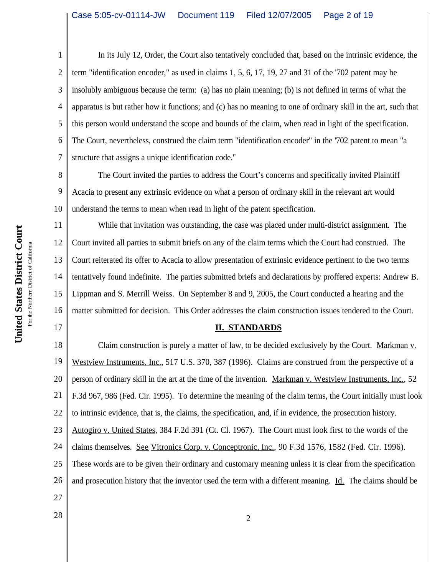In its July 12, Order, the Court also tentatively concluded that, based on the intrinsic evidence, the term "identification encoder," as used in claims 1, 5, 6, 17, 19, 27 and 31 of the '702 patent may be insolubly ambiguous because the term: (a) has no plain meaning; (b) is not defined in terms of what the apparatus is but rather how it functions; and (c) has no meaning to one of ordinary skill in the art, such that this person would understand the scope and bounds of the claim, when read in light of the specification. The Court, nevertheless, construed the claim term "identification encoder" in the '702 patent to mean "a structure that assigns a unique identification code."

8 9 10 The Court invited the parties to address the Court's concerns and specifically invited Plaintiff Acacia to present any extrinsic evidence on what a person of ordinary skill in the relevant art would understand the terms to mean when read in light of the patent specification.

11 12 13 14 15 16 While that invitation was outstanding, the case was placed under multi-district assignment. The Court invited all parties to submit briefs on any of the claim terms which the Court had construed. The Court reiterated its offer to Acacia to allow presentation of extrinsic evidence pertinent to the two terms tentatively found indefinite. The parties submitted briefs and declarations by proffered experts: Andrew B. Lippman and S. Merrill Weiss. On September 8 and 9, 2005, the Court conducted a hearing and the matter submitted for decision. This Order addresses the claim construction issues tendered to the Court.

# **II. STANDARDS**

18 19 20 21 22 23 24 25 26 27 Claim construction is purely a matter of law, to be decided exclusively by the Court. Markman v. Westview Instruments, Inc., 517 U.S. 370, 387 (1996). Claims are construed from the perspective of a person of ordinary skill in the art at the time of the invention. Markman v. Westview Instruments, Inc., 52 F.3d 967, 986 (Fed. Cir. 1995). To determine the meaning of the claim terms, the Court initially must look to intrinsic evidence, that is, the claims, the specification, and, if in evidence, the prosecution history. Autogiro v. United States, 384 F.2d 391 (Ct. Cl. 1967). The Court must look first to the words of the claims themselves. See Vitronics Corp. v. Conceptronic, Inc., 90 F.3d 1576, 1582 (Fed. Cir. 1996). These words are to be given their ordinary and customary meaning unless it is clear from the specification and prosecution history that the inventor used the term with a different meaning. Id. The claims should be

17

1

2

3

4

5

6

7

 $\begin{array}{c|c} 28 & 2 \end{array}$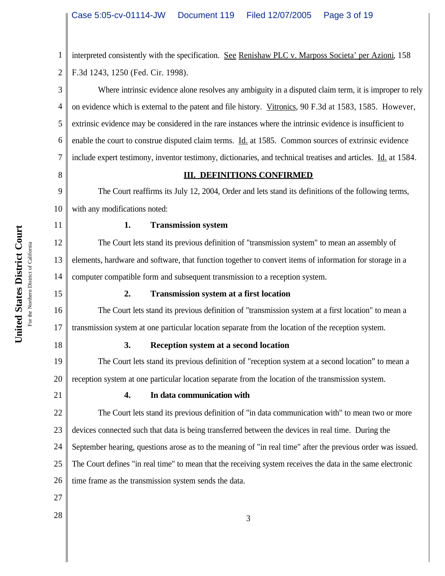1 2 interpreted consistently with the specification. See Renishaw PLC v. Marposs Societa' per Azioni, 158 F.3d 1243, 1250 (Fed. Cir. 1998).

4 6 Where intrinsic evidence alone resolves any ambiguity in a disputed claim term, it is improper to rely on evidence which is external to the patent and file history. Vitronics, 90 F.3d at 1583, 1585. However, extrinsic evidence may be considered in the rare instances where the intrinsic evidence is insufficient to enable the court to construe disputed claim terms. Id. at 1585. Common sources of extrinsic evidence include expert testimony, inventor testimony, dictionaries, and technical treatises and articles. Id. at 1584.

8

7

3

5

#### **III. DEFINITIONS CONFIRMED**

9 10 The Court reaffirms its July 12, 2004, Order and lets stand its definitions of the following terms, with any modifications noted:

11

#### **1. Transmission system**

12 13 14 The Court lets stand its previous definition of "transmission system" to mean an assembly of elements, hardware and software, that function together to convert items of information for storage in a computer compatible form and subsequent transmission to a reception system.

15

16

17

18

#### **2. Transmission system at a first location**

The Court lets stand its previous definition of "transmission system at a first location" to mean a transmission system at one particular location separate from the location of the reception system.

# **3. Reception system at a second location**

19 20 The Court lets stand its previous definition of "reception system at a second location" to mean a reception system at one particular location separate from the location of the transmission system.

21

# **4. In data communication with**

22 23 24 25 26 The Court lets stand its previous definition of "in data communication with" to mean two or more devices connected such that data is being transferred between the devices in real time. During the September hearing, questions arose as to the meaning of "in real time" after the previous order was issued. The Court defines "in real time" to mean that the receiving system receives the data in the same electronic time frame as the transmission system sends the data.

27

 $\begin{array}{c|c} 28 & 3 \end{array}$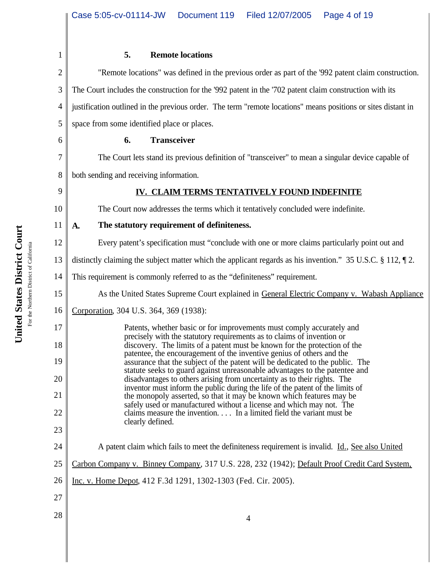| <b>COUL</b><br>istric<br>States<br>.<br>છ્<br>۱ie۰ | For the Northern District of Californ. |
|----------------------------------------------------|----------------------------------------|

| $\mathbf{1}$   | <b>Remote locations</b><br>5.                                                                                                                               |
|----------------|-------------------------------------------------------------------------------------------------------------------------------------------------------------|
| $\overline{2}$ | "Remote locations" was defined in the previous order as part of the '992 patent claim construction.                                                         |
| 3              | The Court includes the construction for the '992 patent in the '702 patent claim construction with its                                                      |
| 4              | justification outlined in the previous order. The term "remote locations" means positions or sites distant in                                               |
| 5              | space from some identified place or places.                                                                                                                 |
| 6              | 6.<br><b>Transceiver</b>                                                                                                                                    |
| 7              | The Court lets stand its previous definition of "transceiver" to mean a singular device capable of                                                          |
| 8              | both sending and receiving information.                                                                                                                     |
| 9              | IV. CLAIM TERMS TENTATIVELY FOUND INDEFINITE                                                                                                                |
| 10             | The Court now addresses the terms which it tentatively concluded were indefinite.                                                                           |
| 11             | The statutory requirement of definiteness.<br>A.                                                                                                            |
| 12             | Every patent's specification must "conclude with one or more claims particularly point out and                                                              |
| 13             | distinctly claiming the subject matter which the applicant regards as his invention." $35 \text{ U.S.C.} \$ 112, $\text{T}$ 2.                              |
| 14             | This requirement is commonly referred to as the "definiteness" requirement.                                                                                 |
| 15             | As the United States Supreme Court explained in General Electric Company v. Wabash Appliance                                                                |
| 16             | Corporation, 304 U.S. 364, 369 (1938):                                                                                                                      |
| 17             | Patents, whether basic or for improvements must comply accurately and<br>precisely with the statutory requirements as to claims of invention or             |
| 18             | discovery. The limits of a patent must be known for the protection of the<br>patentee, the encouragement of the inventive genius of others and the          |
| 19             | assurance that the subject of the patent will be dedicated to the public. The<br>statute seeks to guard against unreasonable advantages to the patentee and |
| $20\,$         | disadvantages to others arising from uncertainty as to their rights. The<br>inventor must inform the public during the life of the patent of the limits of  |
| 21             | the monopoly asserted, so that it may be known which features may be<br>safely used or manufactured without a license and which may not. The                |
| 22             | claims measure the invention. In a limited field the variant must be<br>clearly defined.                                                                    |
| 23             |                                                                                                                                                             |
| 24             | A patent claim which fails to meet the definiteness requirement is invalid. Id., See also United                                                            |
| 25             | Carbon Company v. Binney Company, 317 U.S. 228, 232 (1942); Default Proof Credit Card System,                                                               |
| 26             | Inc. v. Home Depot, 412 F.3d 1291, 1302-1303 (Fed. Cir. 2005).                                                                                              |
| 27             |                                                                                                                                                             |
| 28             | $\overline{4}$                                                                                                                                              |
|                |                                                                                                                                                             |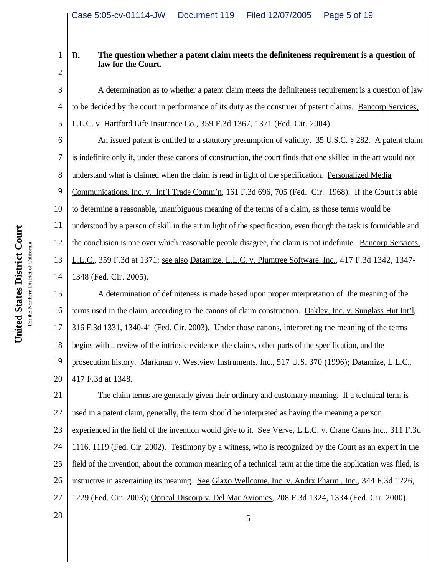2

3

4

5

1

# **B. The question whether a patent claim meets the definiteness requirement is a question of law for the Court.**

A determination as to whether a patent claim meets the definiteness requirement is a question of law to be decided by the court in performance of its duty as the construer of patent claims. Bancorp Services, L.L.C. v. Hartford Life Insurance Co., 359 F.3d 1367, 1371 (Fed. Cir. 2004).

6 7 8 9 10 11 12 13 14 An issued patent is entitled to a statutory presumption of validity. 35 U.S.C. § 282. A patent claim is indefinite only if, under these canons of construction, the court finds that one skilled in the art would not understand what is claimed when the claim is read in light of the specification. Personalized Media Communications, Inc. v. Int'l Trade Comm'n, 161 F.3d 696, 705 (Fed. Cir. 1968). If the Court is able to determine a reasonable, unambiguous meaning of the terms of a claim, as those terms would be understood by a person of skill in the art in light of the specification, even though the task is formidable and the conclusion is one over which reasonable people disagree, the claim is not indefinite. Bancorp Services, L.L.C., 359 F.3d at 1371; see also Datamize, L.L.C. v. Plumtree Software, Inc., 417 F.3d 1342, 1347- 1348 (Fed. Cir. 2005).

15 16 17 18 19 20 A determination of definiteness is made based upon proper interpretation of the meaning of the terms used in the claim, according to the canons of claim construction. Oakley, Inc. v. Sunglass Hut Int'l, 316 F.3d 1331, 1340-41 (Fed. Cir. 2003). Under those canons, interpreting the meaning of the terms begins with a review of the intrinsic evidence–the claims, other parts of the specification, and the prosecution history. Markman v. Westview Instruments, Inc., 517 U.S. 370 (1996); Datamize, L.L.C., 417 F.3d at 1348.

21 22 23 24 25 26 27 The claim terms are generally given their ordinary and customary meaning. If a technical term is used in a patent claim, generally, the term should be interpreted as having the meaning a person experienced in the field of the invention would give to it. See Verve, L.L.C. v. Crane Cams Inc., 311 F.3d 1116, 1119 (Fed. Cir. 2002). Testimony by a witness, who is recognized by the Court as an expert in the field of the invention, about the common meaning of a technical term at the time the application was filed, is instructive in ascertaining its meaning. See Glaxo Wellcome, Inc. v. Andrx Pharm., Inc., 344 F.3d 1226, 1229 (Fed. Cir. 2003); Optical Discorp v. Del Mar Avionics, 208 F.3d 1324, 1334 (Fed. Cir. 2000).

 $28 \parallel$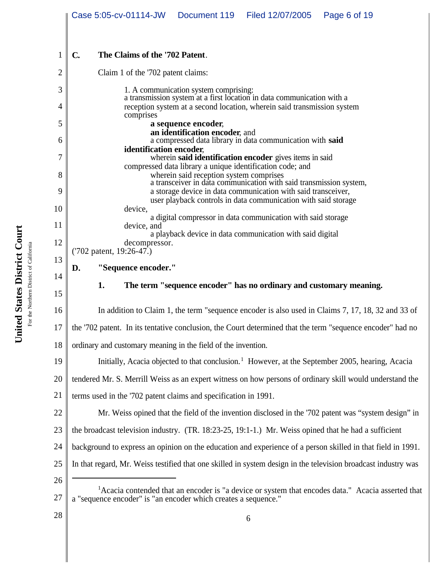|    | Case 5:05-cv-01114-JW Document 119                                                                                                                                                                                                                                                                  |                                       | Filed 12/07/2005                                                                                                                                  | Page 6 of 19                                                                                                  |  |  |  |
|----|-----------------------------------------------------------------------------------------------------------------------------------------------------------------------------------------------------------------------------------------------------------------------------------------------------|---------------------------------------|---------------------------------------------------------------------------------------------------------------------------------------------------|---------------------------------------------------------------------------------------------------------------|--|--|--|
| 1  | The Claims of the '702 Patent.<br>$\mathbf{C}$                                                                                                                                                                                                                                                      |                                       |                                                                                                                                                   |                                                                                                               |  |  |  |
| 2  | Claim 1 of the '702 patent claims:                                                                                                                                                                                                                                                                  |                                       |                                                                                                                                                   |                                                                                                               |  |  |  |
| 3  |                                                                                                                                                                                                                                                                                                     | 1. A communication system comprising: |                                                                                                                                                   |                                                                                                               |  |  |  |
| 4  |                                                                                                                                                                                                                                                                                                     |                                       | a transmission system at a first location in data communication with a<br>reception system at a second location, wherein said transmission system |                                                                                                               |  |  |  |
| 5  | comprises                                                                                                                                                                                                                                                                                           | a sequence encoder,                   |                                                                                                                                                   |                                                                                                               |  |  |  |
| 6  |                                                                                                                                                                                                                                                                                                     | an identification encoder, and        | a compressed data library in data communication with said                                                                                         |                                                                                                               |  |  |  |
| 7  | identification encoder,<br>wherein said identification encoder gives items in said                                                                                                                                                                                                                  |                                       |                                                                                                                                                   |                                                                                                               |  |  |  |
| 8  | compressed data library a unique identification code; and<br>wherein said reception system comprises<br>a transmission system, a transmission system,<br>a storage device in data communication with said transceiver,<br>user playback controls in data communication with said storage<br>device, |                                       |                                                                                                                                                   |                                                                                                               |  |  |  |
| 9  |                                                                                                                                                                                                                                                                                                     |                                       |                                                                                                                                                   |                                                                                                               |  |  |  |
| 10 |                                                                                                                                                                                                                                                                                                     |                                       |                                                                                                                                                   |                                                                                                               |  |  |  |
| 11 | device, and                                                                                                                                                                                                                                                                                         |                                       | a digital compressor in data communication with said storage                                                                                      |                                                                                                               |  |  |  |
| 12 | decompressor.                                                                                                                                                                                                                                                                                       |                                       | a playback device in data communication with said digital                                                                                         |                                                                                                               |  |  |  |
| 13 | ('702 patent, 19:26-47.)<br>"Sequence encoder."                                                                                                                                                                                                                                                     |                                       |                                                                                                                                                   |                                                                                                               |  |  |  |
| 14 | D.                                                                                                                                                                                                                                                                                                  |                                       |                                                                                                                                                   |                                                                                                               |  |  |  |
| 15 | 1.                                                                                                                                                                                                                                                                                                  |                                       | The term "sequence encoder" has no ordinary and customary meaning.                                                                                |                                                                                                               |  |  |  |
| 16 |                                                                                                                                                                                                                                                                                                     |                                       |                                                                                                                                                   | In addition to Claim 1, the term "sequence encoder is also used in Claims 7, 17, 18, 32 and 33 of             |  |  |  |
| 17 | the '702 patent. In its tentative conclusion, the Court determined that the term "sequence encoder" had no                                                                                                                                                                                          |                                       |                                                                                                                                                   |                                                                                                               |  |  |  |
| 18 | ordinary and customary meaning in the field of the invention.                                                                                                                                                                                                                                       |                                       |                                                                                                                                                   |                                                                                                               |  |  |  |
| 19 |                                                                                                                                                                                                                                                                                                     |                                       |                                                                                                                                                   | Initially, Acacia objected to that conclusion. <sup>1</sup> However, at the September 2005, hearing, Acacia   |  |  |  |
| 20 | tendered Mr. S. Merrill Weiss as an expert witness on how persons of ordinary skill would understand the                                                                                                                                                                                            |                                       |                                                                                                                                                   |                                                                                                               |  |  |  |
| 21 | terms used in the '702 patent claims and specification in 1991.                                                                                                                                                                                                                                     |                                       |                                                                                                                                                   |                                                                                                               |  |  |  |
| 22 |                                                                                                                                                                                                                                                                                                     |                                       |                                                                                                                                                   | Mr. Weiss opined that the field of the invention disclosed in the '702 patent was "system design" in          |  |  |  |
| 23 | the broadcast television industry. (TR. 18:23-25, 19:1-1.) Mr. Weiss opined that he had a sufficient                                                                                                                                                                                                |                                       |                                                                                                                                                   |                                                                                                               |  |  |  |
| 24 | background to express an opinion on the education and experience of a person skilled in that field in 1991.                                                                                                                                                                                         |                                       |                                                                                                                                                   |                                                                                                               |  |  |  |
| 25 | In that regard, Mr. Weiss testified that one skilled in system design in the television broadcast industry was                                                                                                                                                                                      |                                       |                                                                                                                                                   |                                                                                                               |  |  |  |
| 26 |                                                                                                                                                                                                                                                                                                     |                                       |                                                                                                                                                   |                                                                                                               |  |  |  |
| 27 | a "sequence encoder" is "an encoder which creates a sequence."                                                                                                                                                                                                                                      |                                       |                                                                                                                                                   | <sup>1</sup> Acacia contended that an encoder is "a device or system that encodes data." Acacia asserted that |  |  |  |
| 28 |                                                                                                                                                                                                                                                                                                     |                                       | 6                                                                                                                                                 |                                                                                                               |  |  |  |

United States District Court **United States District Court** For the Northern District of California For the Northern District of California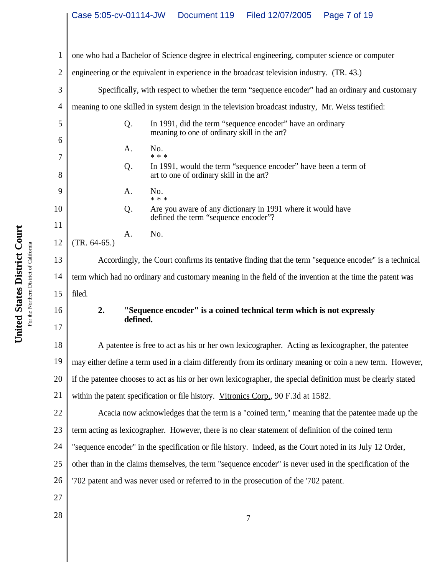| 1      |                                                                                                       |          | one who had a Bachelor of Science degree in electrical engineering, computer science or computer              |
|--------|-------------------------------------------------------------------------------------------------------|----------|---------------------------------------------------------------------------------------------------------------|
| 2      | engineering or the equivalent in experience in the broadcast television industry. (TR. 43.)           |          |                                                                                                               |
| 3      | Specifically, with respect to whether the term "sequence encoder" had an ordinary and customary       |          |                                                                                                               |
| 4      |                                                                                                       |          | meaning to one skilled in system design in the television broadcast industry, Mr. Weiss testified:            |
| 5      |                                                                                                       | Q.       | In 1991, did the term "sequence encoder" have an ordinary<br>meaning to one of ordinary skill in the art?     |
| 6<br>7 |                                                                                                       | Α.       | No.<br>* * *                                                                                                  |
| 8      |                                                                                                       | Q.       | In 1991, would the term "sequence encoder" have been a term of<br>art to one of ordinary skill in the art?    |
| 9      |                                                                                                       | A.       | No.<br>* * *                                                                                                  |
| 10     |                                                                                                       | Q.       | Are you aware of any dictionary in 1991 where it would have<br>defined the term "sequence encoder"?           |
| 11     |                                                                                                       | Α.       | No.                                                                                                           |
| 12     | $(TR. 64-65.)$                                                                                        |          |                                                                                                               |
| 13     | Accordingly, the Court confirms its tentative finding that the term "sequence encoder" is a technical |          |                                                                                                               |
| 14     |                                                                                                       |          | term which had no ordinary and customary meaning in the field of the invention at the time the patent was     |
| 15     | filed.                                                                                                |          |                                                                                                               |
| 16     | 2.                                                                                                    | defined. | "Sequence encoder" is a coined technical term which is not expressly                                          |
| 17     |                                                                                                       |          |                                                                                                               |
| 18     |                                                                                                       |          | A patentee is free to act as his or her own lexicographer. Acting as lexicographer, the patentee              |
| 19     |                                                                                                       |          | may either define a term used in a claim differently from its ordinary meaning or coin a new term. However,   |
| 20     |                                                                                                       |          | if the patentee chooses to act as his or her own lexicographer, the special definition must be clearly stated |
| 21     | within the patent specification or file history. Vitronics Corp., 90 F.3d at 1582.                    |          |                                                                                                               |
| 22     |                                                                                                       |          | Acacia now acknowledges that the term is a "coined term," meaning that the patentee made up the               |
| 23     |                                                                                                       |          | term acting as lexicographer. However, there is no clear statement of definition of the coined term           |
| 24     |                                                                                                       |          | "sequence encoder" in the specification or file history. Indeed, as the Court noted in its July 12 Order,     |
| 25     |                                                                                                       |          | other than in the claims themselves, the term "sequence encoder" is never used in the specification of the    |
| 26     |                                                                                                       |          | '702 patent and was never used or referred to in the prosecution of the '702 patent.                          |
| 27     |                                                                                                       |          |                                                                                                               |
|        |                                                                                                       |          |                                                                                                               |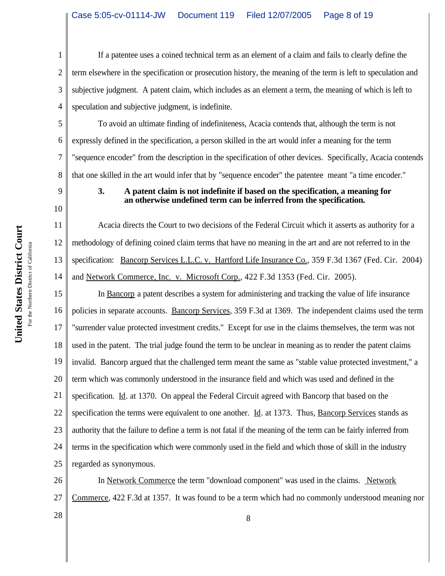1 2 3 4 If a patentee uses a coined technical term as an element of a claim and fails to clearly define the term elsewhere in the specification or prosecution history, the meaning of the term is left to speculation and subjective judgment. A patent claim, which includes as an element a term, the meaning of which is left to speculation and subjective judgment, is indefinite.

5 6 7 8 To avoid an ultimate finding of indefiniteness, Acacia contends that, although the term is not expressly defined in the specification, a person skilled in the art would infer a meaning for the term "sequence encoder" from the description in the specification of other devices. Specifically, Acacia contends that one skilled in the art would infer that by "sequence encoder" the patentee meant "a time encoder."

9 10

11

12

13

14

# **3. A patent claim is not indefinite if based on the specification, a meaning for an otherwise undefined term can be inferred from the specification.**

Acacia directs the Court to two decisions of the Federal Circuit which it asserts as authority for a methodology of defining coined claim terms that have no meaning in the art and are not referred to in the specification: Bancorp Services L.L.C. v. Hartford Life Insurance Co., 359 F.3d 1367 (Fed. Cir. 2004) and Network Commerce, Inc. v. Microsoft Corp., 422 F.3d 1353 (Fed. Cir. 2005).

15 16 17 18 19 20 21 22 23 24 25 In Bancorp a patent describes a system for administering and tracking the value of life insurance policies in separate accounts. Bancorp Services, 359 F.3d at 1369. The independent claims used the term "surrender value protected investment credits." Except for use in the claims themselves, the term was not used in the patent. The trial judge found the term to be unclear in meaning as to render the patent claims invalid. Bancorp argued that the challenged term meant the same as "stable value protected investment," a term which was commonly understood in the insurance field and which was used and defined in the specification. Id. at 1370. On appeal the Federal Circuit agreed with Bancorp that based on the specification the terms were equivalent to one another.  $\underline{Id}$ . at 1373. Thus, Bancorp Services stands as authority that the failure to define a term is not fatal if the meaning of the term can be fairly inferred from terms in the specification which were commonly used in the field and which those of skill in the industry regarded as synonymous.

26 27 In Network Commerce the term "download component" was used in the claims. Network Commerce, 422 F.3d at 1357. It was found to be a term which had no commonly understood meaning nor

 $\begin{array}{c|c} 28 & 8 \end{array}$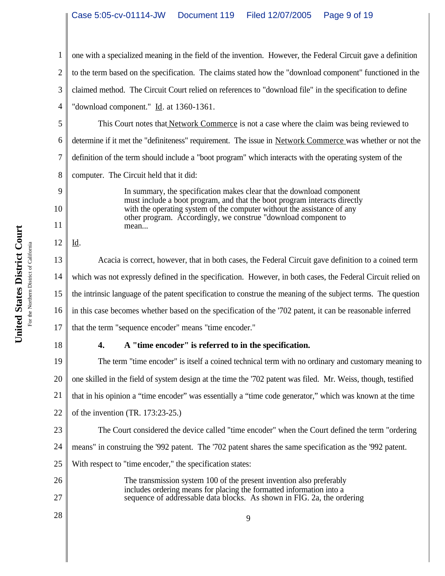1 2 3 4 one with a specialized meaning in the field of the invention. However, the Federal Circuit gave a definition to the term based on the specification. The claims stated how the "download component" functioned in the claimed method. The Circuit Court relied on references to "download file" in the specification to define "download component." Id. at 1360-1361.

5 6 7 8 This Court notes that Network Commerce is not a case where the claim was being reviewed to determine if it met the "definiteness" requirement. The issue in Network Commerce was whether or not the definition of the term should include a "boot program" which interacts with the operating system of the computer. The Circuit held that it did:

> In summary, the specification makes clear that the download component must include a boot program, and that the boot program interacts directly with the operating system of the computer without the assistance of any other program. Accordingly, we construe "download component to mean...

12 Id.

9

10

11

13 14 15 16 17 Acacia is correct, however, that in both cases, the Federal Circuit gave definition to a coined term which was not expressly defined in the specification. However, in both cases, the Federal Circuit relied on the intrinsic language of the patent specification to construe the meaning of the subject terms. The question in this case becomes whether based on the specification of the '702 patent, it can be reasonable inferred that the term "sequence encoder" means "time encoder."

18

# **4. A "time encoder" is referred to in the specification.**

19 20 21 22 The term "time encoder" is itself a coined technical term with no ordinary and customary meaning to one skilled in the field of system design at the time the '702 patent was filed. Mr. Weiss, though, testified that in his opinion a "time encoder" was essentially a "time code generator," which was known at the time of the invention (TR. 173:23-25.)

23 24 25 The Court considered the device called "time encoder" when the Court defined the term "ordering means" in construing the '992 patent. The '702 patent shares the same specification as the '992 patent. With respect to "time encoder," the specification states:

- 26 27 The transmission system 100 of the present invention also preferably includes ordering means for placing the formatted information into a sequence of addressable data blocks. As shown in FIG. 2a, the ordering
- $\begin{array}{c|c}\n 28 & \rightarrow \text{9}\n \end{array}$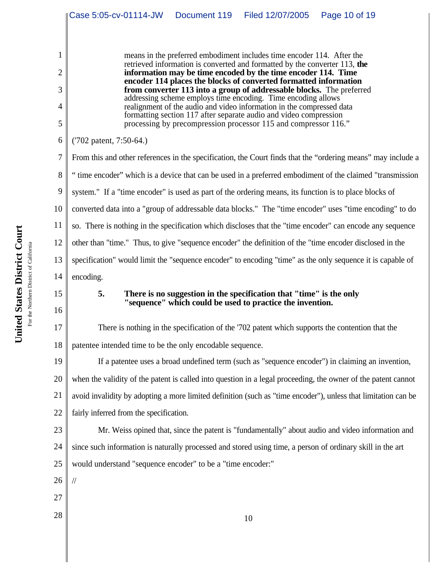|                | Page 10 of 19<br>Case 5:05-cv-01114-JW<br>Document 119<br>Filed 12/07/2005                                                                  |
|----------------|---------------------------------------------------------------------------------------------------------------------------------------------|
|                |                                                                                                                                             |
| 1              | means in the preferred embodiment includes time encoder 114. After the                                                                      |
| $\overline{2}$ | retrieved information is converted and formatted by the converter 113, the<br>information may be time encoded by the time encoder 114. Time |
| 3              | encoder 114 places the blocks of converted formatted information<br>from converter 113 into a group of addressable blocks. The preferred    |
| 4              | addressing scheme employs time encoding. Time encoding allows<br>realignment of the audio and video information in the compressed data      |
| 5              | formatting section 117 after separate audio and video compression<br>processing by precompression processor 115 and compressor 116."        |
| 6              | ('702 patent, 7:50-64.)                                                                                                                     |
| 7              | From this and other references in the specification, the Court finds that the "ordering means" may include a                                |
| 8              | "time encoder" which is a device that can be used in a preferred embodiment of the claimed "transmission"                                   |
| 9              | system." If a "time encoder" is used as part of the ordering means, its function is to place blocks of                                      |
| 10             | converted data into a "group of addressable data blocks." The "time encoder" uses "time encoding" to do                                     |
| 11             | so. There is nothing in the specification which discloses that the "time encoder" can encode any sequence                                   |
| 12             | other than "time." Thus, to give "sequence encoder" the definition of the "time encoder disclosed in the                                    |
| 13             | specification" would limit the "sequence encoder" to encoding "time" as the only sequence it is capable of                                  |
| 14             | encoding.                                                                                                                                   |
| 15             | 5.<br>There is no suggestion in the specification that "time" is the only<br>"sequence" which could be used to practice the invention.      |
| 16             |                                                                                                                                             |
| 17             | There is nothing in the specification of the '702 patent which supports the contention that the                                             |
| 18             | patentee intended time to be the only encodable sequence.                                                                                   |
| 19             | If a patentee uses a broad undefined term (such as "sequence encoder") in claiming an invention,                                            |
| 20             | when the validity of the patent is called into question in a legal proceeding, the owner of the patent cannot                               |
| 21             | avoid invalidity by adopting a more limited definition (such as "time encoder"), unless that limitation can be                              |
| 22             | fairly inferred from the specification.                                                                                                     |
| 23             | Mr. Weiss opined that, since the patent is "fundamentally" about audio and video information and                                            |
| 24             | since such information is naturally processed and stored using time, a person of ordinary skill in the art                                  |
| 25             | would understand "sequence encoder" to be a "time encoder:"                                                                                 |
| 26             | $\sqrt{}$                                                                                                                                   |
| 27             |                                                                                                                                             |
| 28             | 10                                                                                                                                          |
|                |                                                                                                                                             |
|                |                                                                                                                                             |

∥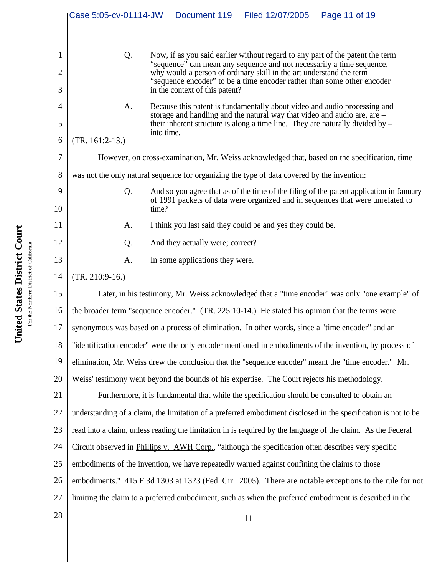|                     | Case 5:05-cv-01114-JW                                                                                          | Document 119 | Filed 12/07/2005                                                                                                                                                                                                                          | Page 11 of 19                                                                                                                                                             |
|---------------------|----------------------------------------------------------------------------------------------------------------|--------------|-------------------------------------------------------------------------------------------------------------------------------------------------------------------------------------------------------------------------------------------|---------------------------------------------------------------------------------------------------------------------------------------------------------------------------|
| 1<br>$\overline{2}$ | Q.                                                                                                             |              | "sequence" can mean any sequence and not necessarily a time sequence, why would a person of ordinary skill in the art understand the term<br>"sequence encoder" to be a time encoder rather than some other encoder                       | Now, if as you said earlier without regard to any part of the patent the term                                                                                             |
| 3                   | in the context of this patent?                                                                                 |              |                                                                                                                                                                                                                                           |                                                                                                                                                                           |
| 4<br>5              | A.                                                                                                             |              | Because this patent is fundamentally about video and audio processing and<br>storage and handling and the natural way that video and audio are, are –<br>their inherent structure is along a time line. They are naturally divided by $-$ |                                                                                                                                                                           |
| 6                   | into time.<br>$(TR. 161:2-13.)$                                                                                |              |                                                                                                                                                                                                                                           |                                                                                                                                                                           |
| 7                   | However, on cross-examination, Mr. Weiss acknowledged that, based on the specification, time                   |              |                                                                                                                                                                                                                                           |                                                                                                                                                                           |
| 8                   | was not the only natural sequence for organizing the type of data covered by the invention:                    |              |                                                                                                                                                                                                                                           |                                                                                                                                                                           |
| 9<br>10             | Q.<br>time?                                                                                                    |              |                                                                                                                                                                                                                                           | And so you agree that as of the time of the filing of the patent application in January<br>of 1991 packets of data were organized and in sequences that were unrelated to |
| 11                  | A.                                                                                                             |              | I think you last said they could be and yes they could be.                                                                                                                                                                                |                                                                                                                                                                           |
| 12                  | And they actually were; correct?<br>Q.                                                                         |              |                                                                                                                                                                                                                                           |                                                                                                                                                                           |
| 13                  | In some applications they were.<br>A.                                                                          |              |                                                                                                                                                                                                                                           |                                                                                                                                                                           |
| 14                  | $(TR. 210:9-16.)$                                                                                              |              |                                                                                                                                                                                                                                           |                                                                                                                                                                           |
| 15                  |                                                                                                                |              |                                                                                                                                                                                                                                           | Later, in his testimony, Mr. Weiss acknowledged that a "time encoder" was only "one example" of                                                                           |
| 16                  | the broader term "sequence encoder." (TR. 225:10-14.) He stated his opinion that the terms were                |              |                                                                                                                                                                                                                                           |                                                                                                                                                                           |
| 17                  | synonymous was based on a process of elimination. In other words, since a "time encoder" and an                |              |                                                                                                                                                                                                                                           |                                                                                                                                                                           |
| 18                  | "identification encoder" were the only encoder mentioned in embodiments of the invention, by process of        |              |                                                                                                                                                                                                                                           |                                                                                                                                                                           |
| 19                  | elimination, Mr. Weiss drew the conclusion that the "sequence encoder" meant the "time encoder." Mr.           |              |                                                                                                                                                                                                                                           |                                                                                                                                                                           |
| 20                  | Weiss' testimony went beyond the bounds of his expertise. The Court rejects his methodology.                   |              |                                                                                                                                                                                                                                           |                                                                                                                                                                           |
| 21                  | Furthermore, it is fundamental that while the specification should be consulted to obtain an                   |              |                                                                                                                                                                                                                                           |                                                                                                                                                                           |
| 22                  | understanding of a claim, the limitation of a preferred embodiment disclosed in the specification is not to be |              |                                                                                                                                                                                                                                           |                                                                                                                                                                           |
| 23                  | read into a claim, unless reading the limitation in is required by the language of the claim. As the Federal   |              |                                                                                                                                                                                                                                           |                                                                                                                                                                           |
| 24                  | Circuit observed in Phillips v. AWH Corp., "although the specification often describes very specific           |              |                                                                                                                                                                                                                                           |                                                                                                                                                                           |
| 25                  | embodiments of the invention, we have repeatedly warned against confining the claims to those                  |              |                                                                                                                                                                                                                                           |                                                                                                                                                                           |
| 26                  | embodiments." 415 F.3d 1303 at 1323 (Fed. Cir. 2005). There are notable exceptions to the rule for not         |              |                                                                                                                                                                                                                                           |                                                                                                                                                                           |
| 27                  | limiting the claim to a preferred embodiment, such as when the preferred embodiment is described in the        |              |                                                                                                                                                                                                                                           |                                                                                                                                                                           |
| 28                  |                                                                                                                |              | 11                                                                                                                                                                                                                                        |                                                                                                                                                                           |
|                     |                                                                                                                |              |                                                                                                                                                                                                                                           |                                                                                                                                                                           |
|                     |                                                                                                                |              |                                                                                                                                                                                                                                           |                                                                                                                                                                           |

United States District Court **United States District Court** For the Northern District of California For the Northern District of California

I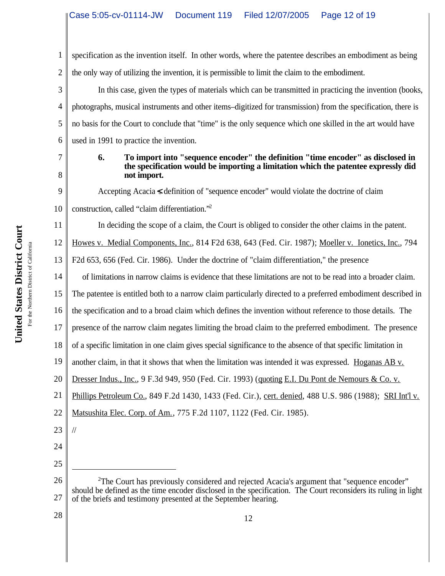1 2 specification as the invention itself. In other words, where the patentee describes an embodiment as being the only way of utilizing the invention, it is permissible to limit the claim to the embodiment.

3 4 5 6 In this case, given the types of materials which can be transmitted in practicing the invention (books, photographs, musical instruments and other items–digitized for transmission) from the specification, there is no basis for the Court to conclude that "time" is the only sequence which one skilled in the art would have used in 1991 to practice the invention.

7

8

9

11

#### **6. To import into "sequence encoder" the definition "time encoder" as disclosed in the specification would be importing a limitation which the patentee expressly did not import.**

Accepting Acacia & definition of "sequence encoder" would violate the doctrine of claim

10 construction, called "claim differentiation."<sup>2</sup>

In deciding the scope of a claim, the Court is obliged to consider the other claims in the patent.

12 Howes v. Medial Components, Inc., 814 F2d 638, 643 (Fed. Cir. 1987); Moeller v. Ionetics, Inc., 794

13 F2d 653, 656 (Fed. Cir. 1986). Under the doctrine of "claim differentiation," the presence

14 of limitations in narrow claims is evidence that these limitations are not to be read into a broader claim.

15 The patentee is entitled both to a narrow claim particularly directed to a preferred embodiment described in

16 the specification and to a broad claim which defines the invention without reference to those details. The

17 presence of the narrow claim negates limiting the broad claim to the preferred embodiment. The presence

18 of a specific limitation in one claim gives special significance to the absence of that specific limitation in

19 another claim, in that it shows that when the limitation was intended it was expressed. Hoganas AB v.

20 Dresser Indus., Inc., 9 F.3d 949, 950 (Fed. Cir. 1993) (quoting E.I. Du Pont de Nemours & Co. v.

21 Phillips Petroleum Co., 849 F.2d 1430, 1433 (Fed. Cir.), cert. denied, 488 U.S. 986 (1988); SRI Int'l v.

- 22 Matsushita Elec. Corp. of Am., 775 F.2d 1107, 1122 (Fed. Cir. 1985).
- 23

//

- 24
- 25

26 27 <sup>2</sup>The Court has previously considered and rejected Acacia's argument that "sequence encoder" should be defined as the time encoder disclosed in the specification. The Court reconsiders its ruling in light of the briefs and testimony presented at the September hearing.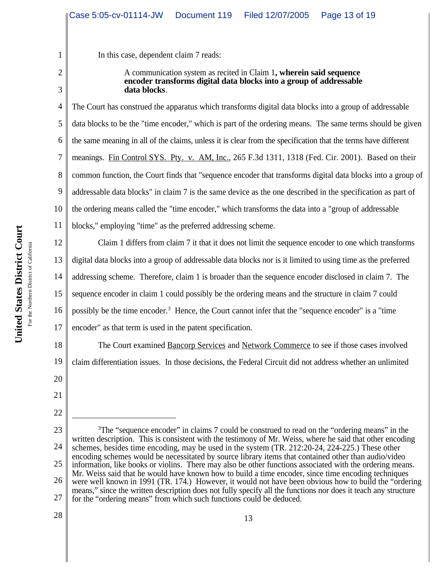In this case, dependent claim 7 reads:

A communication system as recited in Claim 1**, wherein said sequence encoder transforms digital data blocks into a group of addressable data blocks**.

4 5 6 7 8 9 10 The Court has construed the apparatus which transforms digital data blocks into a group of addressable data blocks to be the "time encoder," which is part of the ordering means. The same terms should be given the same meaning in all of the claims, unless it is clear from the specification that the terms have different meanings. Fin Control SYS. Pty. v. AM, Inc., 265 F.3d 1311, 1318 (Fed. Cir. 2001). Based on their common function, the Court finds that "sequence encoder that transforms digital data blocks into a group of addressable data blocks" in claim 7 is the same device as the one described in the specification as part of the ordering means called the "time encoder," which transforms the data into a "group of addressable blocks," employing "time" as the preferred addressing scheme.

12 13 14 15 16 17 Claim 1 differs from claim 7 it that it does not limit the sequence encoder to one which transforms digital data blocks into a group of addressable data blocks nor is it limited to using time as the preferred addressing scheme. Therefore, claim 1 is broader than the sequence encoder disclosed in claim 7. The sequence encoder in claim 1 could possibly be the ordering means and the structure in claim 7 could possibly be the time encoder.<sup>3</sup> Hence, the Court cannot infer that the "sequence encoder" is a "time encoder" as that term is used in the patent specification.

18 19 The Court examined Bancorp Services and Network Commerce to see if those cases involved claim differentiation issues. In those decisions, the Federal Circuit did not address whether an unlimited

20

1

2

3

11

21 22

<sup>23</sup> 24 25 26 27 <sup>3</sup>The "sequence encoder" in claims 7 could be construed to read on the "ordering means" in the written description. This is consistent with the testimony of Mr. Weiss, where he said that other encoding schemes, besides time encoding, may be used in the system (TR. 212:20-24, 224-225.) These other encoding schemes would be necessitated by source library items that contained other than audio/video information, like books or violins. There may also be other functions associated with the ordering means. Mr. Weiss said that he would have known how to build a time encoder, since time encoding techniques were well known in 1991 (TR. 174.) However, it would not have been obvious how to build the "ordering means," since the written description does not fully specify all the functions nor does it teach any structure for the "ordering means" from which such functions could be deduced.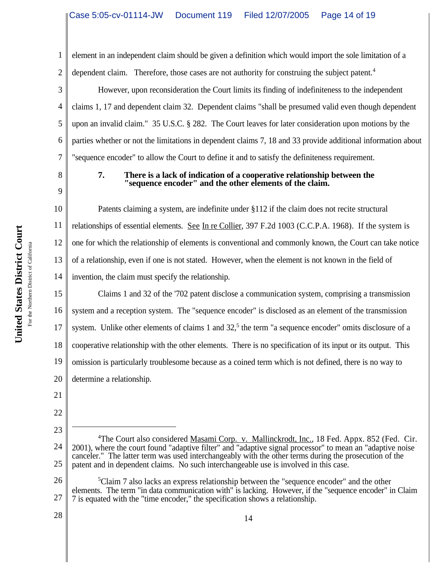1 2 element in an independent claim should be given a definition which would import the sole limitation of a dependent claim. Therefore, those cases are not authority for construing the subject patent.<sup>4</sup>

However, upon reconsideration the Court limits its finding of indefiniteness to the independent claims 1, 17 and dependent claim 32. Dependent claims "shall be presumed valid even though dependent upon an invalid claim." 35 U.S.C. § 282. The Court leaves for later consideration upon motions by the parties whether or not the limitations in dependent claims 7, 18 and 33 provide additional information about "sequence encoder" to allow the Court to define it and to satisfy the definiteness requirement.

8 9

3

4

5

6

7

# **7. There is a lack of indication of a cooperative relationship between the "sequence encoder" and the other elements of the claim.**

10 11 12 13 14 Patents claiming a system, are indefinite under §112 if the claim does not recite structural relationships of essential elements. See In re Collier, 397 F.2d 1003 (C.C.P.A. 1968). If the system is one for which the relationship of elements is conventional and commonly known, the Court can take notice of a relationship, even if one is not stated. However, when the element is not known in the field of invention, the claim must specify the relationship.

15 16 17 18 19 20 Claims 1 and 32 of the '702 patent disclose a communication system, comprising a transmission system and a reception system. The "sequence encoder" is disclosed as an element of the transmission system. Unlike other elements of claims 1 and  $32<sup>5</sup>$ , the term "a sequence encoder" omits disclosure of a cooperative relationship with the other elements. There is no specification of its input or its output. This omission is particularly troublesome because as a coined term which is not defined, there is no way to determine a relationship.

21

22

23

<sup>24</sup> 25 <sup>4</sup>The Court also considered Masami Corp. v. Mallinckrodt, Inc., 18 Fed. Appx. 852 (Fed. Cir. 2001), where the court found "adaptive filter" and "adaptive signal processor" to mean an "adaptive noise canceler." The latter term was used interchangeably with the other terms during the prosecution of the patent and in dependent claims. No such interchangeable use is involved in this case.

<sup>26</sup> 27 <sup>5</sup>Claim 7 also lacks an express relationship between the "sequence encoder" and the other elements. The term "in data communication with" is lacking. However, if the "sequence encoder" in Claim 7 is equated with the "time encoder," the specification shows a relationship.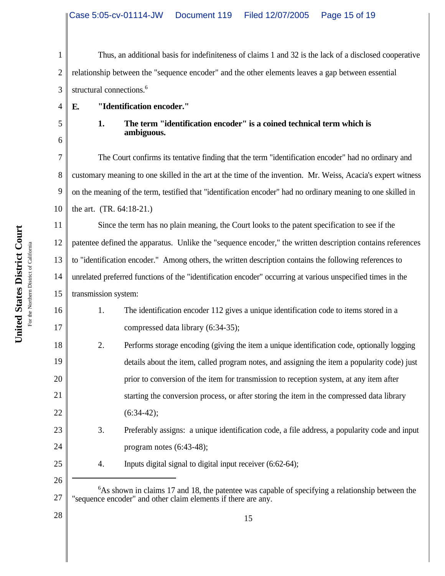1 2 3 Thus, an additional basis for indefiniteness of claims 1 and 32 is the lack of a disclosed cooperative relationship between the "sequence encoder" and the other elements leaves a gap between essential structural connections.<sup>6</sup>

**E. "Identification encoder."**

4

5

6

**1. The term "identification encoder" is a coined technical term which is ambiguous.**

7 8 9 10 The Court confirms its tentative finding that the term "identification encoder" had no ordinary and customary meaning to one skilled in the art at the time of the invention. Mr. Weiss, Acacia's expert witness on the meaning of the term, testified that "identification encoder" had no ordinary meaning to one skilled in the art. (TR. 64:18-21.)

11 12 13 14 15 Since the term has no plain meaning, the Court looks to the patent specification to see if the patentee defined the apparatus. Unlike the "sequence encoder," the written description contains references to "identification encoder." Among others, the written description contains the following references to unrelated preferred functions of the "identification encoder" occurring at various unspecified times in the transmission system:

1. The identification encoder 112 gives a unique identification code to items stored in a compressed data library (6:34-35);

2. Performs storage encoding (giving the item a unique identification code, optionally logging details about the item, called program notes, and assigning the item a popularity code) just prior to conversion of the item for transmission to reception system, at any item after starting the conversion process, or after storing the item in the compressed data library  $(6:34-42);$ 

- 23 24 3. Preferably assigns: a unique identification code, a file address, a popularity code and input program notes (6:43-48);
	- 4. Inputs digital signal to digital input receiver (6:62-64);

16

17

18

19

20

21

22

25

<sup>27</sup> <sup>6</sup>As shown in claims 17 and 18, the patentee was capable of specifying a relationship between the "sequence encoder" and other claim elements if there are any.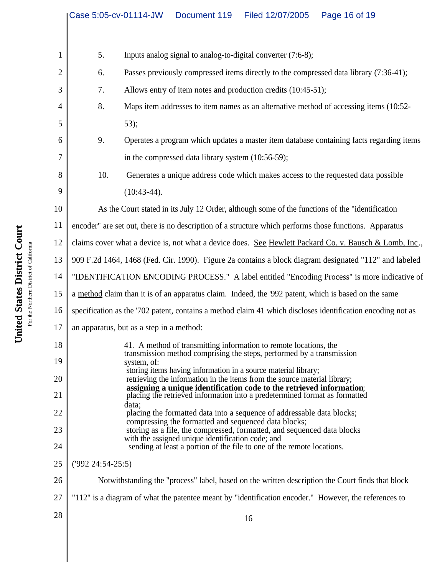|              | Case 5:05-cv-01114-JW                                                                                       | Document 119<br>Filed 12/07/2005<br>Page 16 of 19                                                                                                 |  |  |  |
|--------------|-------------------------------------------------------------------------------------------------------------|---------------------------------------------------------------------------------------------------------------------------------------------------|--|--|--|
|              |                                                                                                             |                                                                                                                                                   |  |  |  |
| $\mathbf{1}$ | 5.                                                                                                          | Inputs analog signal to analog-to-digital converter (7:6-8);                                                                                      |  |  |  |
| 2            | 6.                                                                                                          | Passes previously compressed items directly to the compressed data library (7:36-41);                                                             |  |  |  |
| 3            | 7.                                                                                                          | Allows entry of item notes and production credits (10:45-51);                                                                                     |  |  |  |
| 4            | 8.                                                                                                          | Maps item addresses to item names as an alternative method of accessing items (10:52-                                                             |  |  |  |
| 5            |                                                                                                             | 53);                                                                                                                                              |  |  |  |
| 6            | 9.                                                                                                          | Operates a program which updates a master item database containing facts regarding items                                                          |  |  |  |
| 7            |                                                                                                             | in the compressed data library system $(10:56-59)$ ;                                                                                              |  |  |  |
| 8            | 10.                                                                                                         | Generates a unique address code which makes access to the requested data possible                                                                 |  |  |  |
| 9            |                                                                                                             | $(10:43-44).$                                                                                                                                     |  |  |  |
| 10           |                                                                                                             | As the Court stated in its July 12 Order, although some of the functions of the "identification"                                                  |  |  |  |
| 11           |                                                                                                             | encoder" are set out, there is no description of a structure which performs those functions. Apparatus                                            |  |  |  |
| 12           | claims cover what a device is, not what a device does. See Hewlett Packard Co. v. Bausch & Lomb, Inc.,      |                                                                                                                                                   |  |  |  |
| 13           | 909 F.2d 1464, 1468 (Fed. Cir. 1990). Figure 2a contains a block diagram designated "112" and labeled       |                                                                                                                                                   |  |  |  |
| 14           | "IDENTIFICATION ENCODING PROCESS." A label entitled "Encoding Process" is more indicative of                |                                                                                                                                                   |  |  |  |
| 15           | a method claim than it is of an apparatus claim. Indeed, the '992 patent, which is based on the same        |                                                                                                                                                   |  |  |  |
| 16           | specification as the '702 patent, contains a method claim 41 which discloses identification encoding not as |                                                                                                                                                   |  |  |  |
| 17           | an apparatus, but as a step in a method:                                                                    |                                                                                                                                                   |  |  |  |
| 18           |                                                                                                             | 41. A method of transmitting information to remote locations, the<br>transmission method comprising the steps, performed by a transmission        |  |  |  |
| 19           |                                                                                                             | system, of:<br>storing items having information in a source material library;                                                                     |  |  |  |
| 20           |                                                                                                             | retrieving the information in the items from the source material library;<br>assigning a unique identification code to the retrieved information; |  |  |  |
| 21           |                                                                                                             | placing the retrieved information into a predetermined format as formatted<br>data;                                                               |  |  |  |
| 22           |                                                                                                             | placing the formatted data into a sequence of addressable data blocks;<br>compressing the formatted and sequenced data blocks;                    |  |  |  |
| 23           |                                                                                                             | storing as a file, the compressed, formatted, and sequenced data blocks<br>with the assigned unique identification code; and                      |  |  |  |
| 24           |                                                                                                             | sending at least a portion of the file to one of the remote locations.                                                                            |  |  |  |
| 25           | $(992\;24:54-25:5)$                                                                                         |                                                                                                                                                   |  |  |  |
| 26           |                                                                                                             | Notwithstanding the "process" label, based on the written description the Court finds that block                                                  |  |  |  |
| 27           |                                                                                                             | "112" is a diagram of what the patentee meant by "identification encoder." However, the references to                                             |  |  |  |
| 28           |                                                                                                             | 16                                                                                                                                                |  |  |  |
|              |                                                                                                             |                                                                                                                                                   |  |  |  |
|              |                                                                                                             |                                                                                                                                                   |  |  |  |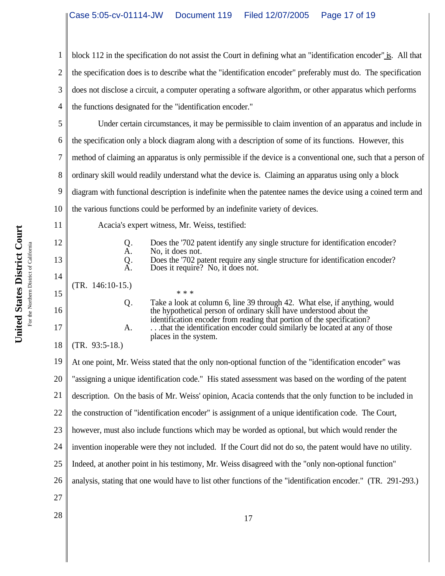1 2 3 4 block 112 in the specification do not assist the Court in defining what an "identification encoder" is. All that the specification does is to describe what the "identification encoder" preferably must do. The specification does not disclose a circuit, a computer operating a software algorithm, or other apparatus which performs the functions designated for the "identification encoder."

5 6 7 8 9 10 Under certain circumstances, it may be permissible to claim invention of an apparatus and include in the specification only a block diagram along with a description of some of its functions. However, this method of claiming an apparatus is only permissible if the device is a conventional one, such that a person of ordinary skill would readily understand what the device is. Claiming an apparatus using only a block diagram with functional description is indefinite when the patentee names the device using a coined term and the various functions could be performed by an indefinite variety of devices.

Acacia's expert witness, Mr. Weiss, testified:

| Q.<br>A.<br>$\mathop{\mathrm{Q}}\limits_{\mathrm{A}}$ . | Does the '702 patent identify any single structure for identification encoder?<br>No, it does not.<br>Does the '702 patent require any single structure for identification encoder?<br>Does it require? No, it does not.    |
|---------------------------------------------------------|-----------------------------------------------------------------------------------------------------------------------------------------------------------------------------------------------------------------------------|
| $(TR. 146:10-15.)$                                      | * * *                                                                                                                                                                                                                       |
| Q.                                                      | Take a look at column 6, line 39 through 42. What else, if anything, would<br>the hypothetical person of ordinary skill have understood about the<br>identification encoder from reading that portion of the specification? |
| А.<br>$\sqrt{mn}$                                       | that the identification encoder could similarly be located at any of those<br>places in the system.                                                                                                                         |

18 (TR. 93:5-18.)

19 20 21 22 23 24 25 26 27  $\begin{array}{c|c|c|c|c} \hline 28 & 17 \end{array}$ At one point, Mr. Weiss stated that the only non-optional function of the "identification encoder" was "assigning a unique identification code." His stated assessment was based on the wording of the patent description. On the basis of Mr. Weiss' opinion, Acacia contends that the only function to be included in the construction of "identification encoder" is assignment of a unique identification code. The Court, however, must also include functions which may be worded as optional, but which would render the invention inoperable were they not included. If the Court did not do so, the patent would have no utility. Indeed, at another point in his testimony, Mr. Weiss disagreed with the "only non-optional function" analysis, stating that one would have to list other functions of the "identification encoder." (TR. 291-293.)

11

12

13

14

15

16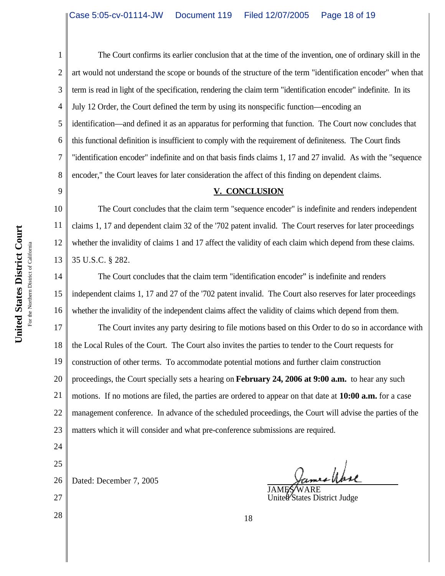1 2 3 4 5 6 7 8 The Court confirms its earlier conclusion that at the time of the invention, one of ordinary skill in the art would not understand the scope or bounds of the structure of the term "identification encoder" when that term is read in light of the specification, rendering the claim term "identification encoder" indefinite. In its July 12 Order, the Court defined the term by using its nonspecific function—encoding an identification—and defined it as an apparatus for performing that function. The Court now concludes that this functional definition is insufficient to comply with the requirement of definiteness. The Court finds "identification encoder" indefinite and on that basis finds claims 1, 17 and 27 invalid. As with the "sequence encoder," the Court leaves for later consideration the affect of this finding on dependent claims.

#### **V. CONCLUSION**

10 The Court concludes that the claim term "sequence encoder" is indefinite and renders independent claims 1, 17 and dependent claim 32 of the '702 patent invalid. The Court reserves for later proceedings whether the invalidity of claims 1 and 17 affect the validity of each claim which depend from these claims. 35 U.S.C. § 282.

14 15 16 The Court concludes that the claim term "identification encoder" is indefinite and renders independent claims 1, 17 and 27 of the '702 patent invalid. The Court also reserves for later proceedings whether the invalidity of the independent claims affect the validity of claims which depend from them.

17 18 19 20 21 22 23 The Court invites any party desiring to file motions based on this Order to do so in accordance with the Local Rules of the Court. The Court also invites the parties to tender to the Court requests for construction of other terms. To accommodate potential motions and further claim construction proceedings, the Court specially sets a hearing on **February 24, 2006 at 9:00 a.m.** to hear any such motions. If no motions are filed, the parties are ordered to appear on that date at **10:00 a.m.** for a case management conference. In advance of the scheduled proceedings, the Court will advise the parties of the matters which it will consider and what pre-conference submissions are required.

24 25

9

11

12

13

26 Dated: December 7, 2005

27

James Wase

JAME\$⁄WARE United States District Judge

 $\begin{array}{c|c|c|c|c} \hline 28 & 18 \end{array}$